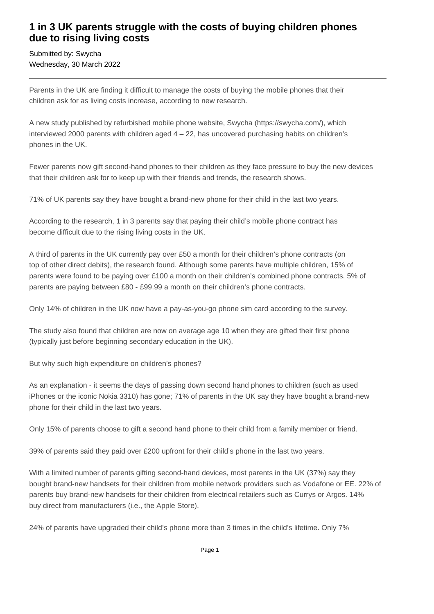## **1 in 3 UK parents struggle with the costs of buying children phones due to rising living costs**

Submitted by: Swycha Wednesday, 30 March 2022

Parents in the UK are finding it difficult to manage the costs of buying the mobile phones that their children ask for as living costs increase, according to new research.

A new study published by refurbished mobile phone website, Swycha (https://swycha.com/), which interviewed 2000 parents with children aged  $4 - 22$ , has uncovered purchasing habits on children's phones in the UK.

Fewer parents now gift second-hand phones to their children as they face pressure to buy the new devices that their children ask for to keep up with their friends and trends, the research shows.

71% of UK parents say they have bought a brand-new phone for their child in the last two years.

According to the research, 1 in 3 parents say that paying their child's mobile phone contract has become difficult due to the rising living costs in the UK.

A third of parents in the UK currently pay over £50 a month for their children's phone contracts (on top of other direct debits), the research found. Although some parents have multiple children, 15% of parents were found to be paying over £100 a month on their children's combined phone contracts. 5% of parents are paying between £80 - £99.99 a month on their children's phone contracts.

Only 14% of children in the UK now have a pay-as-you-go phone sim card according to the survey.

The study also found that children are now on average age 10 when they are gifted their first phone (typically just before beginning secondary education in the UK).

But why such high expenditure on children's phones?

As an explanation - it seems the days of passing down second hand phones to children (such as used iPhones or the iconic Nokia 3310) has gone; 71% of parents in the UK say they have bought a brand-new phone for their child in the last two years.

Only 15% of parents choose to gift a second hand phone to their child from a family member or friend.

39% of parents said they paid over £200 upfront for their child's phone in the last two years.

With a limited number of parents gifting second-hand devices, most parents in the UK (37%) say they bought brand-new handsets for their children from mobile network providers such as Vodafone or EE. 22% of parents buy brand-new handsets for their children from electrical retailers such as Currys or Argos. 14% buy direct from manufacturers (i.e., the Apple Store).

24% of parents have upgraded their child's phone more than 3 times in the child's lifetime. Only 7%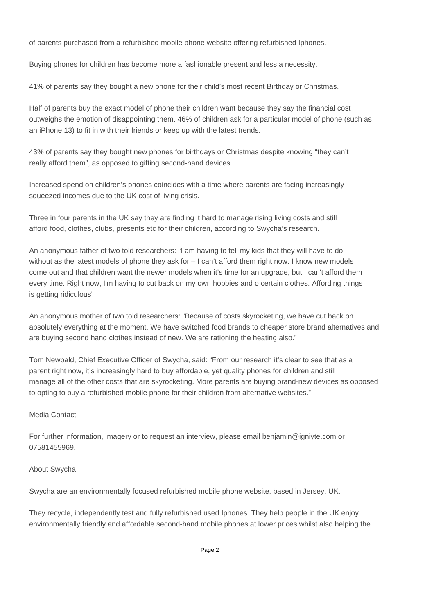of parents purchased from a refurbished mobile phone website offering refurbished Iphones.

Buying phones for children has become more a fashionable present and less a necessity.

41% of parents say they bought a new phone for their child's most recent Birthday or Christmas.

Half of parents buy the exact model of phone their children want because they say the financial cost outweighs the emotion of disappointing them. 46% of children ask for a particular model of phone (such as an iPhone 13) to fit in with their friends or keep up with the latest trends.

43% of parents say they bought new phones for birthdays or Christmas despite knowing "they can't really afford them", as opposed to gifting second-hand devices.

Increased spend on children's phones coincides with a time where parents are facing increasingly squeezed incomes due to the UK cost of living crisis.

Three in four parents in the UK say they are finding it hard to manage rising living costs and still afford food, clothes, clubs, presents etc for their children, according to Swycha's research.

An anonymous father of two told researchers: "I am having to tell my kids that they will have to do without as the latest models of phone they ask for – I can't afford them right now. I know new models come out and that children want the newer models when it's time for an upgrade, but I can't afford them every time. Right now, I'm having to cut back on my own hobbies and o certain clothes. Affording things is getting ridiculous"

An anonymous mother of two told researchers: "Because of costs skyrocketing, we have cut back on absolutely everything at the moment. We have switched food brands to cheaper store brand alternatives and are buying second hand clothes instead of new. We are rationing the heating also."

Tom Newbald, Chief Executive Officer of Swycha, said: "From our research it's clear to see that as a parent right now, it's increasingly hard to buy affordable, yet quality phones for children and still manage all of the other costs that are skyrocketing. More parents are buying brand-new devices as opposed to opting to buy a refurbished mobile phone for their children from alternative websites."

## Media Contact

For further information, imagery or to request an interview, please email benjamin@igniyte.com or 07581455969.

## About Swycha

Swycha are an environmentally focused refurbished mobile phone website, based in Jersey, UK.

They recycle, independently test and fully refurbished used Iphones. They help people in the UK enjoy environmentally friendly and affordable second-hand mobile phones at lower prices whilst also helping the